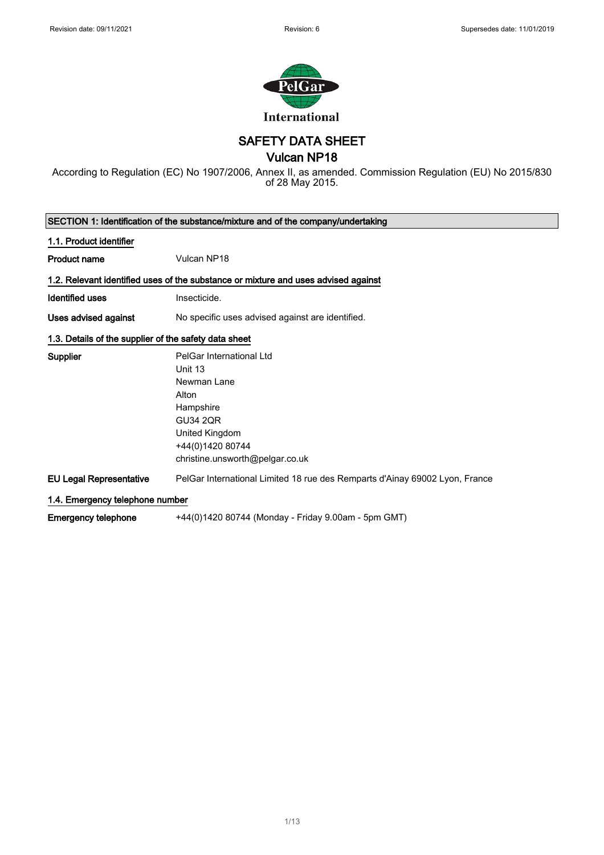

SAFETY DATA SHEET

## Vulcan NP18

According to Regulation (EC) No 1907/2006, Annex II, as amended. Commission Regulation (EU) No 2015/830 of 28 May 2015.

| SECTION 1: Identification of the substance/mixture and of the company/undertaking |                                                                                                                                                                      |  |
|-----------------------------------------------------------------------------------|----------------------------------------------------------------------------------------------------------------------------------------------------------------------|--|
| 1.1. Product identifier                                                           |                                                                                                                                                                      |  |
| <b>Product name</b>                                                               | Vulcan NP18                                                                                                                                                          |  |
|                                                                                   | 1.2. Relevant identified uses of the substance or mixture and uses advised against                                                                                   |  |
| Identified uses                                                                   | Insecticide.                                                                                                                                                         |  |
| Uses advised against                                                              | No specific uses advised against are identified.                                                                                                                     |  |
| 1.3. Details of the supplier of the safety data sheet                             |                                                                                                                                                                      |  |
| <b>Supplier</b>                                                                   | PelGar International Ltd<br>Unit 13<br>Newman Lane<br>Alton<br>Hampshire<br><b>GU34 2QR</b><br>United Kingdom<br>+44(0)1420 80744<br>christine.unsworth@pelgar.co.uk |  |
| <b>EU Legal Representative</b>                                                    | PelGar International Limited 18 rue des Remparts d'Ainay 69002 Lyon, France                                                                                          |  |
| 1.4. Emergency telephone number                                                   |                                                                                                                                                                      |  |
| <b>Emergency telephone</b>                                                        | +44(0)1420 80744 (Monday - Friday 9.00am - 5pm GMT)                                                                                                                  |  |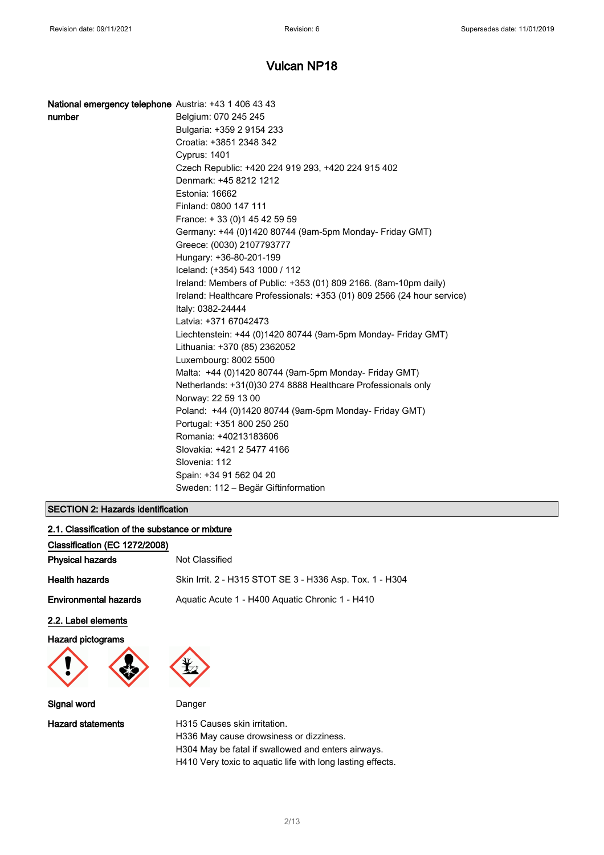| National emergency telephone Austria: +43 1 406 43 43 |                                                                         |
|-------------------------------------------------------|-------------------------------------------------------------------------|
| number                                                | Belgium: 070 245 245                                                    |
|                                                       | Bulgaria: +359 2 9154 233                                               |
|                                                       | Croatia: +3851 2348 342                                                 |
|                                                       | <b>Cyprus: 1401</b>                                                     |
|                                                       | Czech Republic: +420 224 919 293, +420 224 915 402                      |
|                                                       | Denmark: +45 8212 1212                                                  |
|                                                       | Estonia: 16662                                                          |
|                                                       | Finland: 0800 147 111                                                   |
|                                                       | France: +33 (0) 145 42 59 59                                            |
|                                                       | Germany: +44 (0)1420 80744 (9am-5pm Monday- Friday GMT)                 |
|                                                       | Greece: (0030) 2107793777                                               |
|                                                       | Hungary: +36-80-201-199                                                 |
|                                                       | Iceland: (+354) 543 1000 / 112                                          |
|                                                       | Ireland: Members of Public: +353 (01) 809 2166. (8am-10pm daily)        |
|                                                       | Ireland: Healthcare Professionals: +353 (01) 809 2566 (24 hour service) |
|                                                       | Italy: 0382-24444                                                       |
|                                                       | Latvia: +371 67042473                                                   |
|                                                       | Liechtenstein: +44 (0)1420 80744 (9am-5pm Monday- Friday GMT)           |
|                                                       | Lithuania: +370 (85) 2362052                                            |
|                                                       | Luxembourg: 8002 5500                                                   |
|                                                       | Malta: +44 (0)1420 80744 (9am-5pm Monday- Friday GMT)                   |
|                                                       | Netherlands: +31(0)30 274 8888 Healthcare Professionals only            |
|                                                       | Norway: 22 59 13 00                                                     |
|                                                       | Poland: +44 (0)1420 80744 (9am-5pm Monday- Friday GMT)                  |
|                                                       | Portugal: +351 800 250 250                                              |
|                                                       | Romania: +40213183606                                                   |
|                                                       | Slovakia: +421 2 5477 4166                                              |
|                                                       | Slovenia: 112                                                           |
|                                                       | Spain: +34 91 562 04 20                                                 |
|                                                       | Sweden: 112 - Begär Giftinformation                                     |

#### SECTION 2: Hazards identification

| 2.1. Classification of the substance or mixture |                                                          |
|-------------------------------------------------|----------------------------------------------------------|
| Classification (EC 1272/2008)                   |                                                          |
| <b>Physical hazards</b>                         | Not Classified                                           |
| <b>Health hazards</b>                           | Skin Irrit. 2 - H315 STOT SE 3 - H336 Asp. Tox. 1 - H304 |
| <b>Environmental hazards</b>                    | Aquatic Acute 1 - H400 Aquatic Chronic 1 - H410          |
| 2.2. Label elements                             |                                                          |
| <b>Hazard pictograms</b>                        |                                                          |
| Signal word                                     | Danger                                                   |

Hazard statements **H315 Causes skin irritation**. H336 May cause drowsiness or dizziness. H304 May be fatal if swallowed and enters airways. H410 Very toxic to aquatic life with long lasting effects.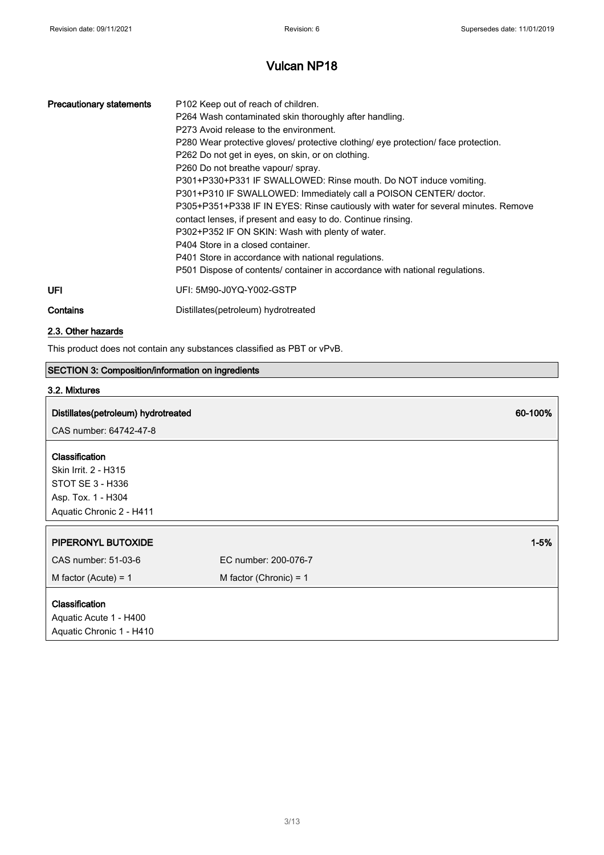| <b>Precautionary statements</b> | P <sub>102</sub> Keep out of reach of children.<br>P264 Wash contaminated skin thoroughly after handling.<br>P273 Avoid release to the environment.<br>P280 Wear protective gloves/ protective clothing/ eye protection/ face protection.<br>P262 Do not get in eyes, on skin, or on clothing.<br>P260 Do not breathe vapour/ spray.<br>P301+P330+P331 IF SWALLOWED: Rinse mouth. Do NOT induce vomiting.<br>P301+P310 IF SWALLOWED: Immediately call a POISON CENTER/ doctor.<br>P305+P351+P338 IF IN EYES: Rinse cautiously with water for several minutes. Remove<br>contact lenses, if present and easy to do. Continue rinsing.<br>P302+P352 IF ON SKIN: Wash with plenty of water.<br>P404 Store in a closed container.<br>P401 Store in accordance with national regulations.<br>P501 Dispose of contents/ container in accordance with national regulations. |
|---------------------------------|----------------------------------------------------------------------------------------------------------------------------------------------------------------------------------------------------------------------------------------------------------------------------------------------------------------------------------------------------------------------------------------------------------------------------------------------------------------------------------------------------------------------------------------------------------------------------------------------------------------------------------------------------------------------------------------------------------------------------------------------------------------------------------------------------------------------------------------------------------------------|
| UFI                             | UFI: 5M90-J0YQ-Y002-GSTP                                                                                                                                                                                                                                                                                                                                                                                                                                                                                                                                                                                                                                                                                                                                                                                                                                             |
| Contains                        | Distillates(petroleum) hydrotreated                                                                                                                                                                                                                                                                                                                                                                                                                                                                                                                                                                                                                                                                                                                                                                                                                                  |

#### 2.3. Other hazards

This product does not contain any substances classified as PBT or vPvB.

### SECTION 3: Composition/information on ingredients

#### 3.2. Mixtures

## Distillates(petroleum) hydrotreated 60-100%

CAS number: 64742-47-8

#### Classification

Skin Irrit. 2 - H315 STOT SE 3 - H336 Asp. Tox. 1 - H304 Aquatic Chronic 2 - H411

| Aquatic Unronic 2 - H411                        |                          |          |
|-------------------------------------------------|--------------------------|----------|
|                                                 |                          |          |
| PIPERONYL BUTOXIDE                              |                          | $1 - 5%$ |
| CAS number: 51-03-6                             | EC number: 200-076-7     |          |
| M factor (Acute) = $1$                          | M factor (Chronic) = $1$ |          |
| <b>Classification</b><br>Aquatic Acute 1 - H400 |                          |          |

#### Aquatic Acute 1 - H400 Aquatic Chronic 1 - H410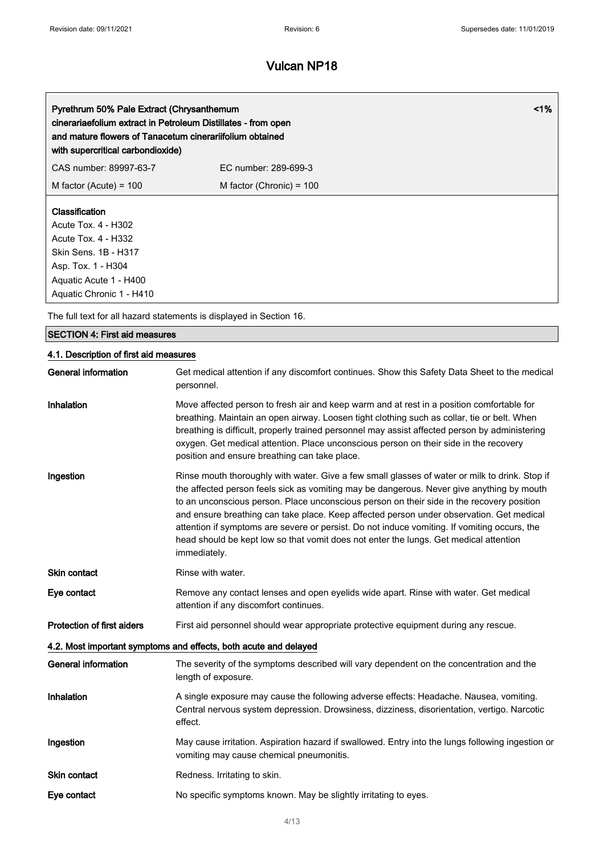| Pyrethrum 50% Pale Extract (Chrysanthemum<br>cinerariaefolium extract in Petroleum Distillates - from open<br>and mature flowers of Tanacetum cinerariifolium obtained<br>with supercritical carbondioxide) |                            | $1\%$ |
|-------------------------------------------------------------------------------------------------------------------------------------------------------------------------------------------------------------|----------------------------|-------|
| CAS number: 89997-63-7                                                                                                                                                                                      | FC number: 289-699-3       |       |
| M factor (Acute) = $100$                                                                                                                                                                                    | M factor (Chronic) = $100$ |       |
| <b>Classification</b><br>Acute Tox. 4 - H302<br>Acute Tox. 4 - H332<br>Skin Sens. 1B - H317<br>Asp. Tox. 1 - H304<br>Aquatic Acute 1 - H400<br>Aquatic Chronic 1 - H410                                     |                            |       |

The full text for all hazard statements is displayed in Section 16.

## SECTION 4: First aid measures

## 4.1. Description of first aid measures

| <b>General information</b> | Get medical attention if any discomfort continues. Show this Safety Data Sheet to the medical<br>personnel.                                                                                                                                                                                                                                                                                                                                                                                                                                                                                   |
|----------------------------|-----------------------------------------------------------------------------------------------------------------------------------------------------------------------------------------------------------------------------------------------------------------------------------------------------------------------------------------------------------------------------------------------------------------------------------------------------------------------------------------------------------------------------------------------------------------------------------------------|
| <b>Inhalation</b>          | Move affected person to fresh air and keep warm and at rest in a position comfortable for<br>breathing. Maintain an open airway. Loosen tight clothing such as collar, tie or belt. When<br>breathing is difficult, properly trained personnel may assist affected person by administering<br>oxygen. Get medical attention. Place unconscious person on their side in the recovery<br>position and ensure breathing can take place.                                                                                                                                                          |
| Ingestion                  | Rinse mouth thoroughly with water. Give a few small glasses of water or milk to drink. Stop if<br>the affected person feels sick as vomiting may be dangerous. Never give anything by mouth<br>to an unconscious person. Place unconscious person on their side in the recovery position<br>and ensure breathing can take place. Keep affected person under observation. Get medical<br>attention if symptoms are severe or persist. Do not induce vomiting. If vomiting occurs, the<br>head should be kept low so that vomit does not enter the lungs. Get medical attention<br>immediately. |
| Skin contact               | Rinse with water.                                                                                                                                                                                                                                                                                                                                                                                                                                                                                                                                                                             |
| Eye contact                | Remove any contact lenses and open eyelids wide apart. Rinse with water. Get medical<br>attention if any discomfort continues.                                                                                                                                                                                                                                                                                                                                                                                                                                                                |
| Protection of first aiders | First aid personnel should wear appropriate protective equipment during any rescue.                                                                                                                                                                                                                                                                                                                                                                                                                                                                                                           |
|                            | 4.2. Most important symptoms and effects, both acute and delayed                                                                                                                                                                                                                                                                                                                                                                                                                                                                                                                              |
| <b>General information</b> | The severity of the symptoms described will vary dependent on the concentration and the<br>length of exposure.                                                                                                                                                                                                                                                                                                                                                                                                                                                                                |
| Inhalation                 | A single exposure may cause the following adverse effects: Headache. Nausea, vomiting.<br>Central nervous system depression. Drowsiness, dizziness, disorientation, vertigo. Narcotic<br>effect.                                                                                                                                                                                                                                                                                                                                                                                              |
| Ingestion                  | May cause irritation. Aspiration hazard if swallowed. Entry into the lungs following ingestion or<br>vomiting may cause chemical pneumonitis.                                                                                                                                                                                                                                                                                                                                                                                                                                                 |
| <b>Skin contact</b>        | Redness. Irritating to skin.                                                                                                                                                                                                                                                                                                                                                                                                                                                                                                                                                                  |
| Eye contact                | No specific symptoms known. May be slightly irritating to eyes.                                                                                                                                                                                                                                                                                                                                                                                                                                                                                                                               |
|                            |                                                                                                                                                                                                                                                                                                                                                                                                                                                                                                                                                                                               |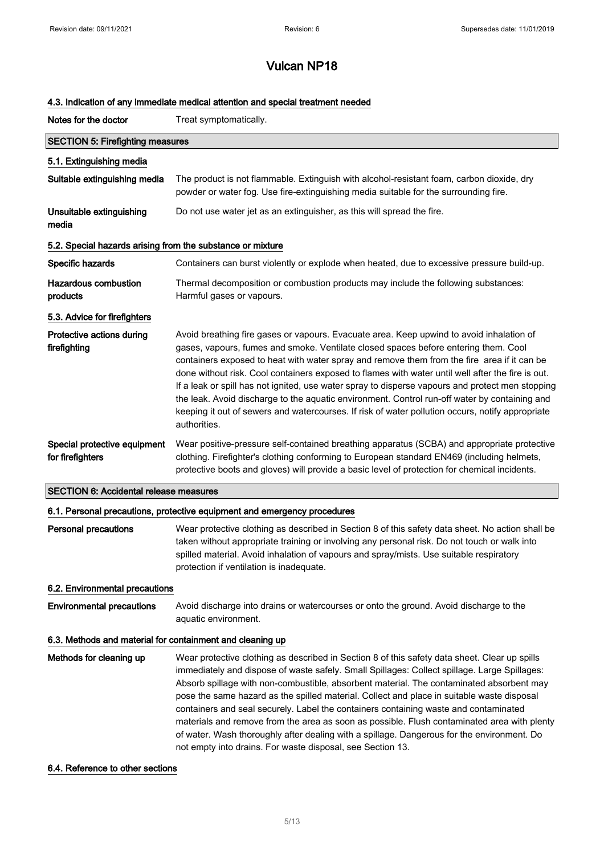### 4.3. Indication of any immediate medical attention and special treatment needed

| Notes for the doctor                                       | Treat symptomatically.                                                                                                                                                                                                                                                                                                                                                                                                                                                                                                                                                                                                                                                                                                                     |  |
|------------------------------------------------------------|--------------------------------------------------------------------------------------------------------------------------------------------------------------------------------------------------------------------------------------------------------------------------------------------------------------------------------------------------------------------------------------------------------------------------------------------------------------------------------------------------------------------------------------------------------------------------------------------------------------------------------------------------------------------------------------------------------------------------------------------|--|
| <b>SECTION 5: Firefighting measures</b>                    |                                                                                                                                                                                                                                                                                                                                                                                                                                                                                                                                                                                                                                                                                                                                            |  |
| 5.1. Extinguishing media                                   |                                                                                                                                                                                                                                                                                                                                                                                                                                                                                                                                                                                                                                                                                                                                            |  |
| Suitable extinguishing media                               | The product is not flammable. Extinguish with alcohol-resistant foam, carbon dioxide, dry<br>powder or water fog. Use fire-extinguishing media suitable for the surrounding fire.                                                                                                                                                                                                                                                                                                                                                                                                                                                                                                                                                          |  |
| Unsuitable extinguishing<br>media                          | Do not use water jet as an extinguisher, as this will spread the fire.                                                                                                                                                                                                                                                                                                                                                                                                                                                                                                                                                                                                                                                                     |  |
| 5.2. Special hazards arising from the substance or mixture |                                                                                                                                                                                                                                                                                                                                                                                                                                                                                                                                                                                                                                                                                                                                            |  |
| Specific hazards                                           | Containers can burst violently or explode when heated, due to excessive pressure build-up.                                                                                                                                                                                                                                                                                                                                                                                                                                                                                                                                                                                                                                                 |  |
| <b>Hazardous combustion</b><br>products                    | Thermal decomposition or combustion products may include the following substances:<br>Harmful gases or vapours.                                                                                                                                                                                                                                                                                                                                                                                                                                                                                                                                                                                                                            |  |
| 5.3. Advice for firefighters                               |                                                                                                                                                                                                                                                                                                                                                                                                                                                                                                                                                                                                                                                                                                                                            |  |
| Protective actions during<br>firefighting                  | Avoid breathing fire gases or vapours. Evacuate area. Keep upwind to avoid inhalation of<br>gases, vapours, fumes and smoke. Ventilate closed spaces before entering them. Cool<br>containers exposed to heat with water spray and remove them from the fire area if it can be<br>done without risk. Cool containers exposed to flames with water until well after the fire is out.<br>If a leak or spill has not ignited, use water spray to disperse vapours and protect men stopping<br>the leak. Avoid discharge to the aquatic environment. Control run-off water by containing and<br>keeping it out of sewers and watercourses. If risk of water pollution occurs, notify appropriate<br>authorities.                               |  |
| Special protective equipment<br>for firefighters           | Wear positive-pressure self-contained breathing apparatus (SCBA) and appropriate protective<br>clothing. Firefighter's clothing conforming to European standard EN469 (including helmets,<br>protective boots and gloves) will provide a basic level of protection for chemical incidents.                                                                                                                                                                                                                                                                                                                                                                                                                                                 |  |
| <b>SECTION 6: Accidental release measures</b>              |                                                                                                                                                                                                                                                                                                                                                                                                                                                                                                                                                                                                                                                                                                                                            |  |
|                                                            | 6.1. Personal precautions, protective equipment and emergency procedures                                                                                                                                                                                                                                                                                                                                                                                                                                                                                                                                                                                                                                                                   |  |
| <b>Personal precautions</b>                                | Wear protective clothing as described in Section 8 of this safety data sheet. No action shall be<br>taken without appropriate training or involving any personal risk. Do not touch or walk into<br>spilled material. Avoid inhalation of vapours and spray/mists. Use suitable respiratory<br>protection if ventilation is inadequate.                                                                                                                                                                                                                                                                                                                                                                                                    |  |
| 6.2. Environmental precautions                             |                                                                                                                                                                                                                                                                                                                                                                                                                                                                                                                                                                                                                                                                                                                                            |  |
| <b>Environmental precautions</b>                           | Avoid discharge into drains or watercourses or onto the ground. Avoid discharge to the<br>aquatic environment.                                                                                                                                                                                                                                                                                                                                                                                                                                                                                                                                                                                                                             |  |
| 6.3. Methods and material for containment and cleaning up  |                                                                                                                                                                                                                                                                                                                                                                                                                                                                                                                                                                                                                                                                                                                                            |  |
| Methods for cleaning up                                    | Wear protective clothing as described in Section 8 of this safety data sheet. Clear up spills<br>immediately and dispose of waste safely. Small Spillages: Collect spillage. Large Spillages:<br>Absorb spillage with non-combustible, absorbent material. The contaminated absorbent may<br>pose the same hazard as the spilled material. Collect and place in suitable waste disposal<br>containers and seal securely. Label the containers containing waste and contaminated<br>materials and remove from the area as soon as possible. Flush contaminated area with plenty<br>of water. Wash thoroughly after dealing with a spillage. Dangerous for the environment. Do<br>not empty into drains. For waste disposal, see Section 13. |  |

## 6.4. Reference to other sections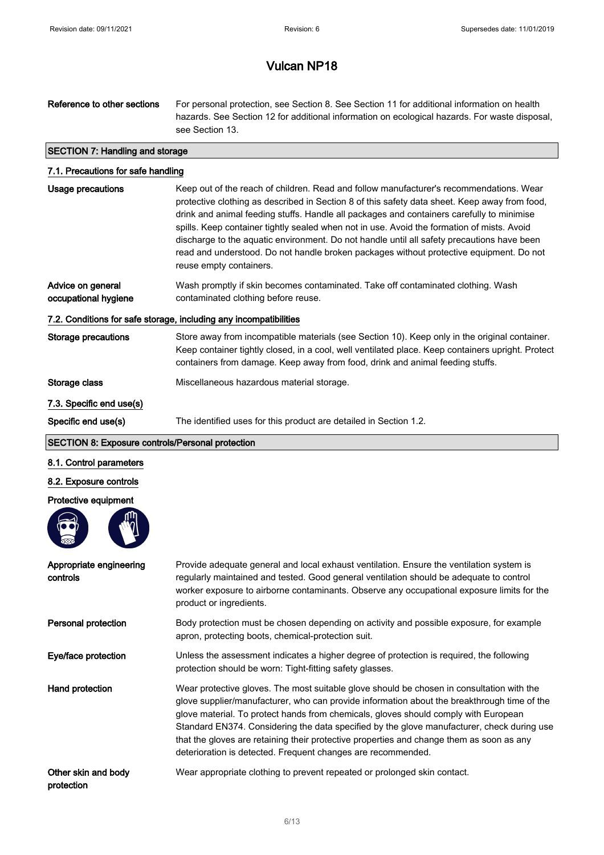| Reference to other sections                                       | For personal protection, see Section 8. See Section 11 for additional information on health<br>hazards. See Section 12 for additional information on ecological hazards. For waste disposal,<br>see Section 13.                                                                                                                                                                                                                                                                                                                                                                                         |  |
|-------------------------------------------------------------------|---------------------------------------------------------------------------------------------------------------------------------------------------------------------------------------------------------------------------------------------------------------------------------------------------------------------------------------------------------------------------------------------------------------------------------------------------------------------------------------------------------------------------------------------------------------------------------------------------------|--|
| <b>SECTION 7: Handling and storage</b>                            |                                                                                                                                                                                                                                                                                                                                                                                                                                                                                                                                                                                                         |  |
| 7.1. Precautions for safe handling                                |                                                                                                                                                                                                                                                                                                                                                                                                                                                                                                                                                                                                         |  |
| <b>Usage precautions</b>                                          | Keep out of the reach of children. Read and follow manufacturer's recommendations. Wear<br>protective clothing as described in Section 8 of this safety data sheet. Keep away from food,<br>drink and animal feeding stuffs. Handle all packages and containers carefully to minimise<br>spills. Keep container tightly sealed when not in use. Avoid the formation of mists. Avoid<br>discharge to the aquatic environment. Do not handle until all safety precautions have been<br>read and understood. Do not handle broken packages without protective equipment. Do not<br>reuse empty containers. |  |
| Advice on general<br>occupational hygiene                         | Wash promptly if skin becomes contaminated. Take off contaminated clothing. Wash<br>contaminated clothing before reuse.                                                                                                                                                                                                                                                                                                                                                                                                                                                                                 |  |
| 7.2. Conditions for safe storage, including any incompatibilities |                                                                                                                                                                                                                                                                                                                                                                                                                                                                                                                                                                                                         |  |
| <b>Storage precautions</b>                                        | Store away from incompatible materials (see Section 10). Keep only in the original container.<br>Keep container tightly closed, in a cool, well ventilated place. Keep containers upright. Protect<br>containers from damage. Keep away from food, drink and animal feeding stuffs.                                                                                                                                                                                                                                                                                                                     |  |
| Storage class                                                     | Miscellaneous hazardous material storage.                                                                                                                                                                                                                                                                                                                                                                                                                                                                                                                                                               |  |
| 7.3. Specific end use(s)                                          |                                                                                                                                                                                                                                                                                                                                                                                                                                                                                                                                                                                                         |  |
| Specific end use(s)                                               | The identified uses for this product are detailed in Section 1.2.                                                                                                                                                                                                                                                                                                                                                                                                                                                                                                                                       |  |
| <b>SECTION 8: Exposure controls/Personal protection</b>           |                                                                                                                                                                                                                                                                                                                                                                                                                                                                                                                                                                                                         |  |
| 8.1. Control parameters                                           |                                                                                                                                                                                                                                                                                                                                                                                                                                                                                                                                                                                                         |  |
| 8.2. Exposure controls                                            |                                                                                                                                                                                                                                                                                                                                                                                                                                                                                                                                                                                                         |  |
| Protective equipment                                              |                                                                                                                                                                                                                                                                                                                                                                                                                                                                                                                                                                                                         |  |
|                                                                   |                                                                                                                                                                                                                                                                                                                                                                                                                                                                                                                                                                                                         |  |
| Appropriate engineering<br>controls                               | Provide adequate general and local exhaust ventilation. Ensure the ventilation system is<br>regularly maintained and tested. Good general ventilation should be adequate to control<br>worker exposure to airborne contaminants. Observe any occupational exposure limits for the<br>product or ingredients.                                                                                                                                                                                                                                                                                            |  |
| Personal protection                                               | Body protection must be chosen depending on activity and possible exposure, for example<br>apron, protecting boots, chemical-protection suit.                                                                                                                                                                                                                                                                                                                                                                                                                                                           |  |
| Eye/face protection                                               | Unless the assessment indicates a higher degree of protection is required, the following<br>protection should be worn: Tight-fitting safety glasses.                                                                                                                                                                                                                                                                                                                                                                                                                                                    |  |
| Hand protection                                                   | Wear protective gloves. The most suitable glove should be chosen in consultation with the<br>glove supplier/manufacturer, who can provide information about the breakthrough time of the<br>glove material. To protect hands from chemicals, gloves should comply with European<br>Standard EN374. Considering the data specified by the glove manufacturer, check during use<br>that the gloves are retaining their protective properties and change them as soon as any<br>deterioration is detected. Frequent changes are recommended.                                                               |  |
| Other skin and body<br>protection                                 | Wear appropriate clothing to prevent repeated or prolonged skin contact.                                                                                                                                                                                                                                                                                                                                                                                                                                                                                                                                |  |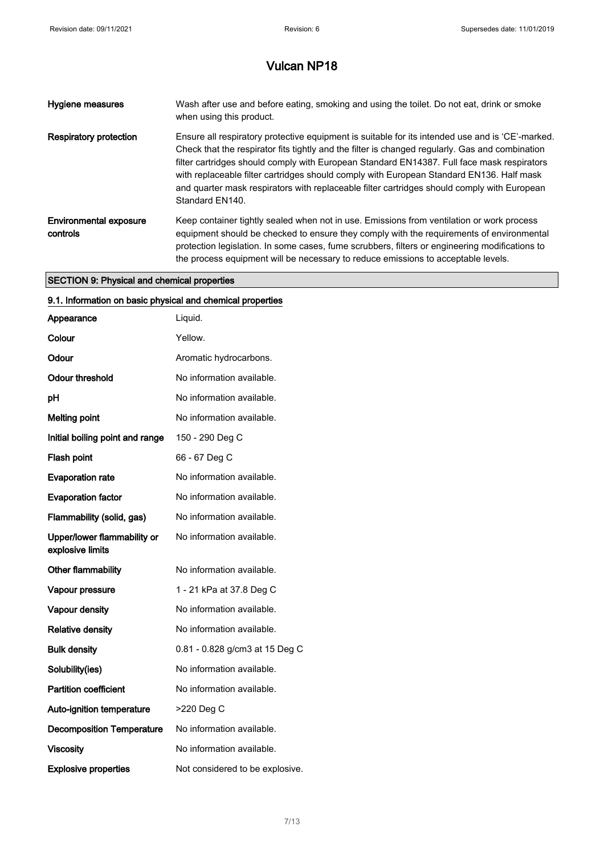| <b>Hygiene measures</b>                   | Wash after use and before eating, smoking and using the toilet. Do not eat, drink or smoke<br>when using this product.                                                                                                                                                                                                                                                                                                                                                                                          |
|-------------------------------------------|-----------------------------------------------------------------------------------------------------------------------------------------------------------------------------------------------------------------------------------------------------------------------------------------------------------------------------------------------------------------------------------------------------------------------------------------------------------------------------------------------------------------|
| Respiratory protection                    | Ensure all respiratory protective equipment is suitable for its intended use and is 'CE'-marked.<br>Check that the respirator fits tightly and the filter is changed regularly. Gas and combination<br>filter cartridges should comply with European Standard EN14387. Full face mask respirators<br>with replaceable filter cartridges should comply with European Standard EN136. Half mask<br>and quarter mask respirators with replaceable filter cartridges should comply with European<br>Standard EN140. |
| <b>Environmental exposure</b><br>controls | Keep container tightly sealed when not in use. Emissions from ventilation or work process<br>equipment should be checked to ensure they comply with the requirements of environmental<br>protection legislation. In some cases, fume scrubbers, filters or engineering modifications to<br>the process equipment will be necessary to reduce emissions to acceptable levels.                                                                                                                                    |

## SECTION 9: Physical and chemical properties

| 9.1. Information on basic physical and chemical properties |                                 |  |
|------------------------------------------------------------|---------------------------------|--|
| Appearance                                                 | Liquid.                         |  |
| Colour                                                     | Yellow.                         |  |
| Odour                                                      | Aromatic hydrocarbons.          |  |
| Odour threshold                                            | No information available.       |  |
| рH                                                         | No information available.       |  |
| <b>Melting point</b>                                       | No information available.       |  |
| Initial boiling point and range                            | 150 - 290 Deg C                 |  |
| Flash point                                                | 66 - 67 Deg C                   |  |
| <b>Evaporation rate</b>                                    | No information available.       |  |
| <b>Evaporation factor</b>                                  | No information available.       |  |
| Flammability (solid, gas)                                  | No information available.       |  |
| Upper/lower flammability or<br>explosive limits            | No information available.       |  |
| Other flammability                                         | No information available.       |  |
| Vapour pressure                                            | 1 - 21 kPa at 37.8 Deg C        |  |
| Vapour density                                             | No information available.       |  |
| <b>Relative density</b>                                    | No information available.       |  |
| <b>Bulk density</b>                                        | 0.81 - 0.828 g/cm3 at 15 Deg C  |  |
| Solubility(ies)                                            | No information available.       |  |
| <b>Partition coefficient</b>                               | No information available.       |  |
| Auto-ignition temperature                                  | >220 Deg C                      |  |
| <b>Decomposition Temperature</b>                           | No information available.       |  |
| <b>Viscosity</b>                                           | No information available.       |  |
| <b>Explosive properties</b>                                | Not considered to be explosive. |  |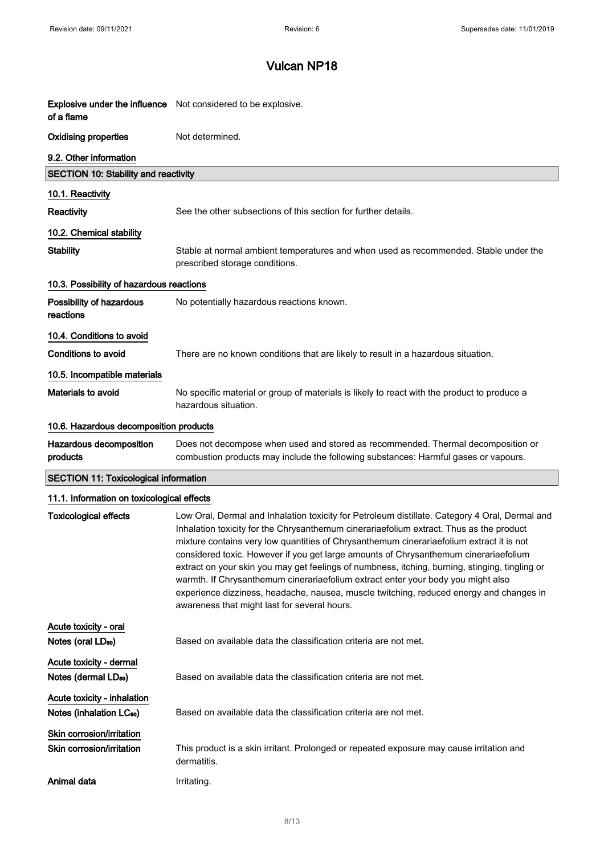| of a flame                                                          | <b>Explosive under the influence</b> Not considered to be explosive.                                                                                                                                                                                                                                                                                                                                                                                                                                                                                                                                                                                                                                           |
|---------------------------------------------------------------------|----------------------------------------------------------------------------------------------------------------------------------------------------------------------------------------------------------------------------------------------------------------------------------------------------------------------------------------------------------------------------------------------------------------------------------------------------------------------------------------------------------------------------------------------------------------------------------------------------------------------------------------------------------------------------------------------------------------|
| <b>Oxidising properties</b>                                         | Not determined.                                                                                                                                                                                                                                                                                                                                                                                                                                                                                                                                                                                                                                                                                                |
| 9.2. Other information                                              |                                                                                                                                                                                                                                                                                                                                                                                                                                                                                                                                                                                                                                                                                                                |
| <b>SECTION 10: Stability and reactivity</b>                         |                                                                                                                                                                                                                                                                                                                                                                                                                                                                                                                                                                                                                                                                                                                |
| 10.1. Reactivity                                                    |                                                                                                                                                                                                                                                                                                                                                                                                                                                                                                                                                                                                                                                                                                                |
| Reactivity                                                          | See the other subsections of this section for further details.                                                                                                                                                                                                                                                                                                                                                                                                                                                                                                                                                                                                                                                 |
| 10.2. Chemical stability                                            |                                                                                                                                                                                                                                                                                                                                                                                                                                                                                                                                                                                                                                                                                                                |
| <b>Stability</b>                                                    | Stable at normal ambient temperatures and when used as recommended. Stable under the<br>prescribed storage conditions.                                                                                                                                                                                                                                                                                                                                                                                                                                                                                                                                                                                         |
| 10.3. Possibility of hazardous reactions                            |                                                                                                                                                                                                                                                                                                                                                                                                                                                                                                                                                                                                                                                                                                                |
| Possibility of hazardous<br>reactions                               | No potentially hazardous reactions known.                                                                                                                                                                                                                                                                                                                                                                                                                                                                                                                                                                                                                                                                      |
| 10.4. Conditions to avoid                                           |                                                                                                                                                                                                                                                                                                                                                                                                                                                                                                                                                                                                                                                                                                                |
| Conditions to avoid                                                 | There are no known conditions that are likely to result in a hazardous situation.                                                                                                                                                                                                                                                                                                                                                                                                                                                                                                                                                                                                                              |
| 10.5. Incompatible materials                                        |                                                                                                                                                                                                                                                                                                                                                                                                                                                                                                                                                                                                                                                                                                                |
| <b>Materials to avoid</b>                                           | No specific material or group of materials is likely to react with the product to produce a<br>hazardous situation.                                                                                                                                                                                                                                                                                                                                                                                                                                                                                                                                                                                            |
| 10.6. Hazardous decomposition products                              |                                                                                                                                                                                                                                                                                                                                                                                                                                                                                                                                                                                                                                                                                                                |
| Hazardous decomposition<br>products                                 | Does not decompose when used and stored as recommended. Thermal decomposition or<br>combustion products may include the following substances: Harmful gases or vapours.                                                                                                                                                                                                                                                                                                                                                                                                                                                                                                                                        |
| <b>SECTION 11: Toxicological information</b>                        |                                                                                                                                                                                                                                                                                                                                                                                                                                                                                                                                                                                                                                                                                                                |
| 11.1. Information on toxicological effects                          |                                                                                                                                                                                                                                                                                                                                                                                                                                                                                                                                                                                                                                                                                                                |
| <b>Toxicological effects</b>                                        | Low Oral, Dermal and Inhalation toxicity for Petroleum distillate. Category 4 Oral, Dermal and<br>Inhalation toxicity for the Chrysanthemum cinerariaefolium extract. Thus as the product<br>mixture contains very low quantities of Chrysanthemum cinerariaefolium extract it is not<br>considered toxic. However if you get large amounts of Chrysanthemum cinerariaefolium<br>extract on your skin you may get feelings of numbness, itching, burning, stinging, tingling or<br>warmth. If Chrysanthemum cinerariaefolium extract enter your body you might also<br>experience dizziness, headache, nausea, muscle twitching, reduced energy and changes in<br>awareness that might last for several hours. |
| Acute toxicity - oral                                               |                                                                                                                                                                                                                                                                                                                                                                                                                                                                                                                                                                                                                                                                                                                |
| Notes (oral LD <sub>50</sub> )                                      | Based on available data the classification criteria are not met.                                                                                                                                                                                                                                                                                                                                                                                                                                                                                                                                                                                                                                               |
| Acute toxicity - dermal<br>Notes (dermal LD <sub>50</sub> )         | Based on available data the classification criteria are not met.                                                                                                                                                                                                                                                                                                                                                                                                                                                                                                                                                                                                                                               |
| Acute toxicity - inhalation<br>Notes (inhalation LC <sub>50</sub> ) | Based on available data the classification criteria are not met.                                                                                                                                                                                                                                                                                                                                                                                                                                                                                                                                                                                                                                               |
| Skin corrosion/irritation<br>Skin corrosion/irritation              | This product is a skin irritant. Prolonged or repeated exposure may cause irritation and                                                                                                                                                                                                                                                                                                                                                                                                                                                                                                                                                                                                                       |
| Animal data                                                         | dermatitis.<br>Irritating.                                                                                                                                                                                                                                                                                                                                                                                                                                                                                                                                                                                                                                                                                     |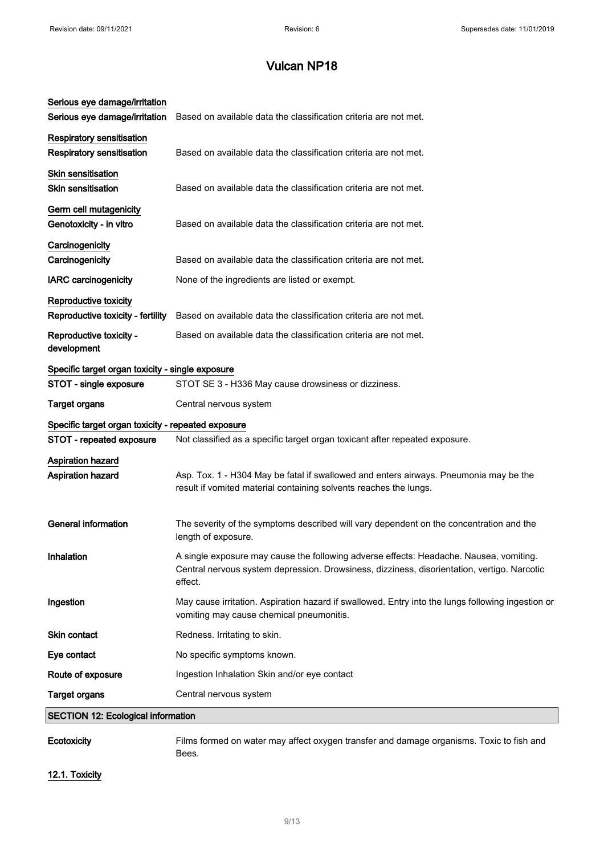| Serious eye damage/irritation<br>Serious eye damage/irritation       | Based on available data the classification criteria are not met.                                                                                                                                 |
|----------------------------------------------------------------------|--------------------------------------------------------------------------------------------------------------------------------------------------------------------------------------------------|
| <b>Respiratory sensitisation</b><br><b>Respiratory sensitisation</b> | Based on available data the classification criteria are not met.                                                                                                                                 |
| Skin sensitisation<br><b>Skin sensitisation</b>                      | Based on available data the classification criteria are not met.                                                                                                                                 |
| Germ cell mutagenicity<br>Genotoxicity - in vitro                    | Based on available data the classification criteria are not met.                                                                                                                                 |
| Carcinogenicity<br>Carcinogenicity                                   | Based on available data the classification criteria are not met.                                                                                                                                 |
| <b>IARC carcinogenicity</b>                                          | None of the ingredients are listed or exempt.                                                                                                                                                    |
| Reproductive toxicity<br>Reproductive toxicity - fertility           | Based on available data the classification criteria are not met.                                                                                                                                 |
| Reproductive toxicity -<br>development                               | Based on available data the classification criteria are not met.                                                                                                                                 |
| Specific target organ toxicity - single exposure                     |                                                                                                                                                                                                  |
| STOT - single exposure                                               | STOT SE 3 - H336 May cause drowsiness or dizziness.                                                                                                                                              |
| <b>Target organs</b>                                                 | Central nervous system                                                                                                                                                                           |
| Specific target organ toxicity - repeated exposure                   |                                                                                                                                                                                                  |
| STOT - repeated exposure                                             | Not classified as a specific target organ toxicant after repeated exposure.                                                                                                                      |
| Aspiration hazard<br>Aspiration hazard                               | Asp. Tox. 1 - H304 May be fatal if swallowed and enters airways. Pneumonia may be the<br>result if vomited material containing solvents reaches the lungs.                                       |
| <b>General information</b>                                           | The severity of the symptoms described will vary dependent on the concentration and the<br>length of exposure.                                                                                   |
| Inhalation                                                           | A single exposure may cause the following adverse effects: Headache. Nausea, vomiting.<br>Central nervous system depression. Drowsiness, dizziness, disorientation, vertigo. Narcotic<br>effect. |
| Ingestion                                                            | May cause irritation. Aspiration hazard if swallowed. Entry into the lungs following ingestion or<br>vomiting may cause chemical pneumonitis.                                                    |
| <b>Skin contact</b>                                                  | Redness. Irritating to skin.                                                                                                                                                                     |
| Eye contact                                                          | No specific symptoms known.                                                                                                                                                                      |
| Route of exposure                                                    | Ingestion Inhalation Skin and/or eye contact                                                                                                                                                     |
| <b>Target organs</b>                                                 | Central nervous system                                                                                                                                                                           |
| <b>SECTION 12: Ecological information</b>                            |                                                                                                                                                                                                  |
| Ecotoxicity                                                          | Films formed on water may affect oxygen transfer and damage organisms. Toxic to fish and<br>Bees.                                                                                                |

# 12.1. Toxicity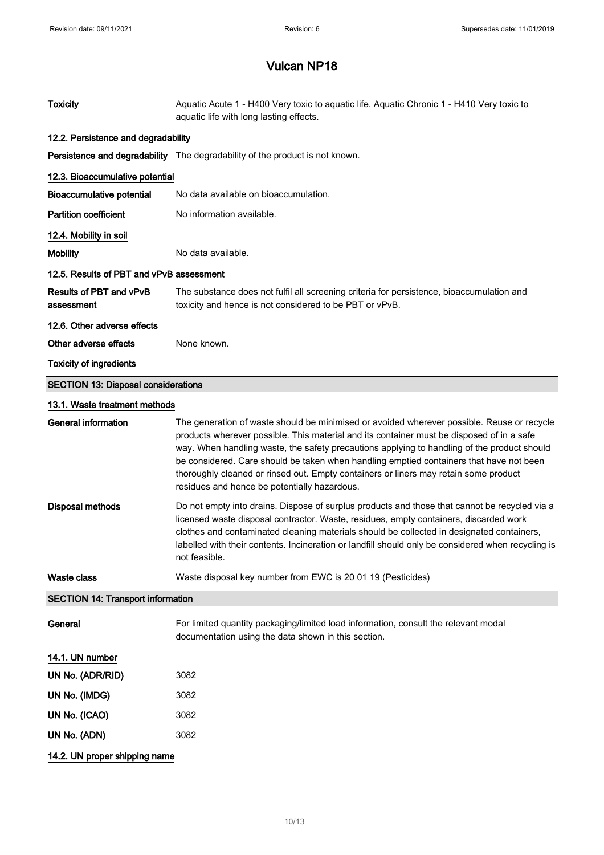| <b>Toxicity</b>                            | Aquatic Acute 1 - H400 Very toxic to aquatic life. Aquatic Chronic 1 - H410 Very toxic to<br>aquatic life with long lasting effects.                                                                                                                                                                                                                                                                                                                                                                                      |
|--------------------------------------------|---------------------------------------------------------------------------------------------------------------------------------------------------------------------------------------------------------------------------------------------------------------------------------------------------------------------------------------------------------------------------------------------------------------------------------------------------------------------------------------------------------------------------|
| 12.2. Persistence and degradability        |                                                                                                                                                                                                                                                                                                                                                                                                                                                                                                                           |
|                                            | Persistence and degradability The degradability of the product is not known.                                                                                                                                                                                                                                                                                                                                                                                                                                              |
| 12.3. Bioaccumulative potential            |                                                                                                                                                                                                                                                                                                                                                                                                                                                                                                                           |
| <b>Bioaccumulative potential</b>           | No data available on bioaccumulation.                                                                                                                                                                                                                                                                                                                                                                                                                                                                                     |
| <b>Partition coefficient</b>               | No information available.                                                                                                                                                                                                                                                                                                                                                                                                                                                                                                 |
| 12.4. Mobility in soil                     |                                                                                                                                                                                                                                                                                                                                                                                                                                                                                                                           |
| <b>Mobility</b>                            | No data available.                                                                                                                                                                                                                                                                                                                                                                                                                                                                                                        |
| 12.5. Results of PBT and vPvB assessment   |                                                                                                                                                                                                                                                                                                                                                                                                                                                                                                                           |
| Results of PBT and vPvB<br>assessment      | The substance does not fulfil all screening criteria for persistence, bioaccumulation and<br>toxicity and hence is not considered to be PBT or vPvB.                                                                                                                                                                                                                                                                                                                                                                      |
| 12.6. Other adverse effects                |                                                                                                                                                                                                                                                                                                                                                                                                                                                                                                                           |
| Other adverse effects                      | None known.                                                                                                                                                                                                                                                                                                                                                                                                                                                                                                               |
| <b>Toxicity of ingredients</b>             |                                                                                                                                                                                                                                                                                                                                                                                                                                                                                                                           |
| <b>SECTION 13: Disposal considerations</b> |                                                                                                                                                                                                                                                                                                                                                                                                                                                                                                                           |
| 13.1. Waste treatment methods              |                                                                                                                                                                                                                                                                                                                                                                                                                                                                                                                           |
| <b>General information</b>                 | The generation of waste should be minimised or avoided wherever possible. Reuse or recycle<br>products wherever possible. This material and its container must be disposed of in a safe<br>way. When handling waste, the safety precautions applying to handling of the product should<br>be considered. Care should be taken when handling emptied containers that have not been<br>thoroughly cleaned or rinsed out. Empty containers or liners may retain some product<br>residues and hence be potentially hazardous. |
| <b>Disposal methods</b>                    | Do not empty into drains. Dispose of surplus products and those that cannot be recycled via a<br>licensed waste disposal contractor. Waste, residues, empty containers, discarded work<br>clothes and contaminated cleaning materials should be collected in designated containers,<br>labelled with their contents. Incineration or landfill should only be considered when recycling is<br>not feasible.                                                                                                                |
| <b>Waste class</b>                         | Waste disposal key number from EWC is 20 01 19 (Pesticides)                                                                                                                                                                                                                                                                                                                                                                                                                                                               |
| <b>SECTION 14: Transport information</b>   |                                                                                                                                                                                                                                                                                                                                                                                                                                                                                                                           |
| General                                    | For limited quantity packaging/limited load information, consult the relevant modal<br>documentation using the data shown in this section.                                                                                                                                                                                                                                                                                                                                                                                |
| 14.1. UN number                            |                                                                                                                                                                                                                                                                                                                                                                                                                                                                                                                           |
| UN No. (ADR/RID)                           | 3082                                                                                                                                                                                                                                                                                                                                                                                                                                                                                                                      |
| UN No. (IMDG)                              | 3082                                                                                                                                                                                                                                                                                                                                                                                                                                                                                                                      |
| UN No. (ICAO)                              | 3082                                                                                                                                                                                                                                                                                                                                                                                                                                                                                                                      |
| UN No. (ADN)                               | 3082                                                                                                                                                                                                                                                                                                                                                                                                                                                                                                                      |
| 14.2. UN proper shipping name              |                                                                                                                                                                                                                                                                                                                                                                                                                                                                                                                           |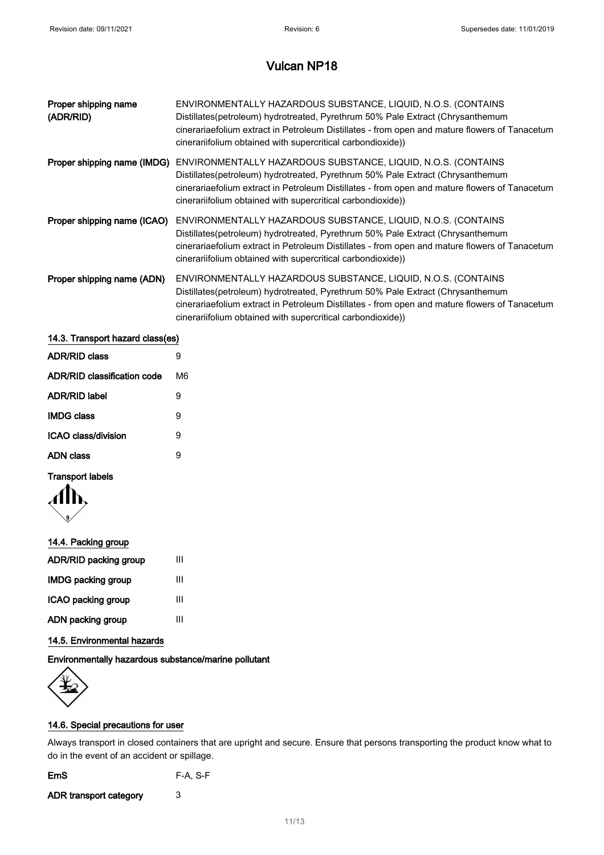| Proper shipping name<br>(ADR/RID) | ENVIRONMENTALLY HAZARDOUS SUBSTANCE, LIQUID, N.O.S. (CONTAINS<br>Distillates(petroleum) hydrotreated, Pyrethrum 50% Pale Extract (Chrysanthemum<br>cinerariaefolium extract in Petroleum Distillates - from open and mature flowers of Tanacetum<br>cinerariifolium obtained with supercritical carbondioxide))  |
|-----------------------------------|------------------------------------------------------------------------------------------------------------------------------------------------------------------------------------------------------------------------------------------------------------------------------------------------------------------|
| Proper shipping name (IMDG)       | ENVIRONMENTALLY HAZARDOUS SUBSTANCE, LIQUID, N.O.S. (CONTAINS<br>Distillates(petroleum) hydrotreated, Pyrethrum 50% Pale Extract (Chrysanthemum<br>cinerariaefolium extract in Petroleum Distillates - from open and mature flowers of Tanacetum<br>cinerariifolium obtained with supercritical carbondioxide))  |
| Proper shipping name (ICAO)       | ENVIRONMENTALLY HAZARDOUS SUBSTANCE, LIQUID, N.O.S. (CONTAINS<br>Distillates (petroleum) hydrotreated, Pyrethrum 50% Pale Extract (Chrysanthemum<br>cinerariaefolium extract in Petroleum Distillates - from open and mature flowers of Tanacetum<br>cinerariifolium obtained with supercritical carbondioxide)) |
| Proper shipping name (ADN)        | ENVIRONMENTALLY HAZARDOUS SUBSTANCE, LIQUID, N.O.S. (CONTAINS<br>Distillates(petroleum) hydrotreated, Pyrethrum 50% Pale Extract (Chrysanthemum<br>cinerariaefolium extract in Petroleum Distillates - from open and mature flowers of Tanacetum<br>cinerariifolium obtained with supercritical carbondioxide))  |
| 14.3. Transport hazard class(es)  |                                                                                                                                                                                                                                                                                                                  |

| <b>ADR/RID class</b>        | 9  |
|-----------------------------|----|
| ADR/RID classification code | M6 |
| <b>ADR/RID label</b>        | 9  |
| <b>IMDG class</b>           | 9  |
| ICAO class/division         | 9  |
| ADN class                   | 9  |
|                             |    |

## Transport labels



#### 14.4. Packing group

## 14.5. Environmental hazards

Environmentally hazardous substance/marine pollutant



## 14.6. Special precautions for user

Always transport in closed containers that are upright and secure. Ensure that persons transporting the product know what to do in the event of an accident or spillage.

| <b>EmS</b> | $F-A, S-F$ |
|------------|------------|
|------------|------------|

ADR transport category 3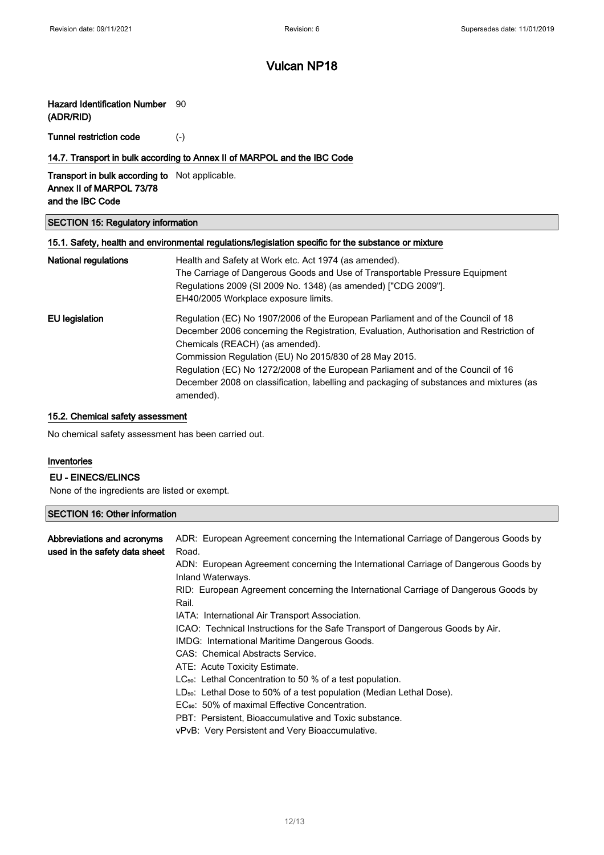## Hazard Identification Number 90

(ADR/RID)

Tunnel restriction code (-)

#### 14.7. Transport in bulk according to Annex II of MARPOL and the IBC Code

Transport in bulk according to Not applicable. Annex II of MARPOL 73/78 and the IBC Code

#### SECTION 15: Regulatory information

|                      | 15.1. Safety, health and environmental regulations/legislation specific for the substance or mixture |
|----------------------|------------------------------------------------------------------------------------------------------|
| National regulations | Health and Safety at Work etc. Act 1974 (as amended).                                                |
|                      | The Carriage of Dangerous Goods and Use of Transportable Pressure Equipment                          |
|                      | Regulations 2009 (SI 2009 No. 1348) (as amended) ["CDG 2009"].                                       |
|                      | EH40/2005 Workplace exposure limits.                                                                 |
| EU legislation       | Regulation (EC) No 1907/2006 of the European Parliament and of the Council of 18                     |
|                      | December 2006 concerning the Registration, Evaluation, Authorisation and Restriction of              |
|                      | Chemicals (REACH) (as amended).                                                                      |
|                      | Commission Regulation (EU) No 2015/830 of 28 May 2015.                                               |
|                      | Regulation (EC) No 1272/2008 of the European Parliament and of the Council of 16                     |
|                      | December 2008 on classification, labelling and packaging of substances and mixtures (as              |
|                      | amended).                                                                                            |

## 15.2. Chemical safety assessment

No chemical safety assessment has been carried out.

#### Inventories

ſ

#### EU - EINECS/ELINCS

None of the ingredients are listed or exempt.

| <b>SECTION 16: Other information</b> |                                                                                     |
|--------------------------------------|-------------------------------------------------------------------------------------|
|                                      |                                                                                     |
| Abbreviations and acronyms           | ADR: European Agreement concerning the International Carriage of Dangerous Goods by |
| used in the safety data sheet        | Road.                                                                               |
|                                      | ADN: European Agreement concerning the International Carriage of Dangerous Goods by |
|                                      | Inland Waterways.                                                                   |
|                                      | RID: European Agreement concerning the International Carriage of Dangerous Goods by |
|                                      | Rail.                                                                               |
|                                      | IATA: International Air Transport Association.                                      |
|                                      | ICAO: Technical Instructions for the Safe Transport of Dangerous Goods by Air.      |
|                                      | IMDG: International Maritime Dangerous Goods.                                       |
|                                      | CAS: Chemical Abstracts Service.                                                    |
|                                      | ATE: Acute Toxicity Estimate.                                                       |
|                                      | $LC_{50}$ : Lethal Concentration to 50 % of a test population.                      |
|                                      | $LD_{50}$ : Lethal Dose to 50% of a test population (Median Lethal Dose).           |
|                                      | EC <sub>50</sub> : 50% of maximal Effective Concentration.                          |
|                                      | PBT: Persistent, Bioaccumulative and Toxic substance.                               |
|                                      | vPvB: Very Persistent and Very Bioaccumulative.                                     |